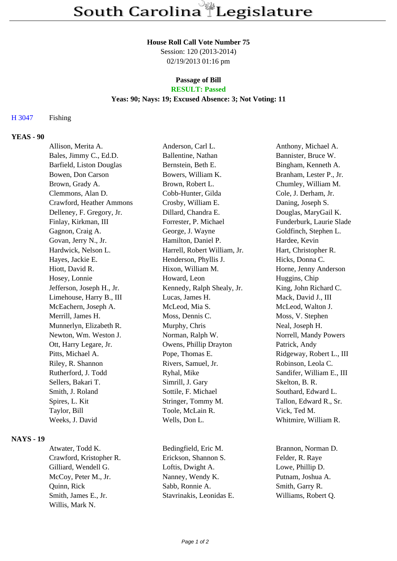#### **House Roll Call Vote Number 75**

Session: 120 (2013-2014) 02/19/2013 01:16 pm

#### **Passage of Bill RESULT: Passed**

# **Yeas: 90; Nays: 19; Excused Absence: 3; Not Voting: 11**

### H 3047 Fishing

## **YEAS - 90**

| Allison, Merita A.        | Anderson, Carl L.            | Anthony, Michael A.       |
|---------------------------|------------------------------|---------------------------|
| Bales, Jimmy C., Ed.D.    | Ballentine, Nathan           | Bannister, Bruce W.       |
| Barfield, Liston Douglas  | Bernstein, Beth E.           | Bingham, Kenneth A.       |
| Bowen, Don Carson         | Bowers, William K.           | Branham, Lester P., Jr.   |
| Brown, Grady A.           | Brown, Robert L.             | Chumley, William M.       |
| Clemmons, Alan D.         | Cobb-Hunter, Gilda           | Cole, J. Derham, Jr.      |
| Crawford, Heather Ammons  | Crosby, William E.           | Daning, Joseph S.         |
| Delleney, F. Gregory, Jr. | Dillard, Chandra E.          | Douglas, MaryGail K.      |
| Finlay, Kirkman, III      | Forrester, P. Michael        | Funderburk, Laurie Slade  |
| Gagnon, Craig A.          | George, J. Wayne             | Goldfinch, Stephen L.     |
| Govan, Jerry N., Jr.      | Hamilton, Daniel P.          | Hardee, Kevin             |
| Hardwick, Nelson L.       | Harrell, Robert William, Jr. | Hart, Christopher R.      |
| Hayes, Jackie E.          | Henderson, Phyllis J.        | Hicks, Donna C.           |
| Hiott, David R.           | Hixon, William M.            | Horne, Jenny Anderson     |
| Hosey, Lonnie             | Howard, Leon                 | Huggins, Chip             |
| Jefferson, Joseph H., Jr. | Kennedy, Ralph Shealy, Jr.   | King, John Richard C.     |
| Limehouse, Harry B., III  | Lucas, James H.              | Mack, David J., III       |
| McEachern, Joseph A.      | McLeod, Mia S.               | McLeod, Walton J.         |
| Merrill, James H.         | Moss, Dennis C.              | Moss, V. Stephen          |
| Munnerlyn, Elizabeth R.   | Murphy, Chris                | Neal, Joseph H.           |
| Newton, Wm. Weston J.     | Norman, Ralph W.             | Norrell, Mandy Powers     |
| Ott, Harry Legare, Jr.    | Owens, Phillip Drayton       | Patrick, Andy             |
| Pitts, Michael A.         | Pope, Thomas E.              | Ridgeway, Robert L., III  |
| Riley, R. Shannon         | Rivers, Samuel, Jr.          | Robinson, Leola C.        |
| Rutherford, J. Todd       | Ryhal, Mike                  | Sandifer, William E., III |
| Sellers, Bakari T.        | Simrill, J. Gary             | Skelton, B. R.            |
| Smith, J. Roland          | Sottile, F. Michael          | Southard, Edward L.       |
| Spires, L. Kit            | Stringer, Tommy M.           | Tallon, Edward R., Sr.    |
| Taylor, Bill              | Toole, McLain R.             | Vick, Ted M.              |
| Weeks, J. David           | Wells, Don L.                | Whitmire, William R.      |
|                           |                              |                           |

### **NAYS - 19**

Willis, Mark N.

Crawford, Kristopher R. Erickson, Shannon S. Felder, R. Raye Gilliard, Wendell G. Loftis, Dwight A. Lowe, Phillip D. McCoy, Peter M., Jr. Nanney, Wendy K. Putnam, Joshua A. Quinn, Rick Sabb, Ronnie A. Smith, Garry R. Smith, James E., Jr. Stavrinakis, Leonidas E. Williams, Robert Q.

Atwater, Todd K. Bedingfield, Eric M. Brannon, Norman D.